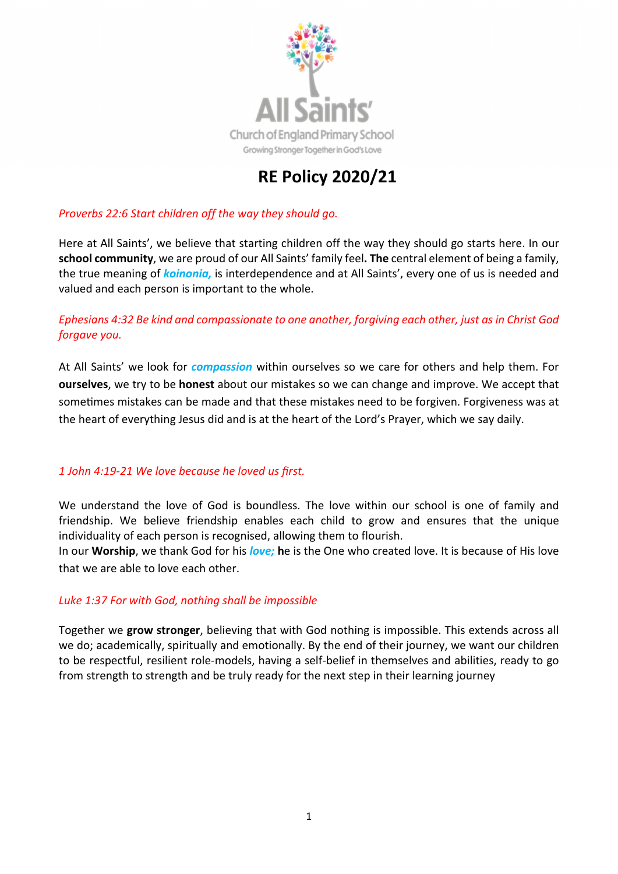

# RE Policy 2020/21

## *Proverbs 22:6 Start children off the way they should go.*

Here at All Saints', we believe that starting children off the way they should go starts here. In our school community, we are proud of our All Saints' family feel. The central element of being a family, the true meaning of *koinonia,* is interdependence and at All Saints', every one of us is needed and valued and each person is important to the whole.

# *Ephesians 4:32 Be kind and compassionate to one another, forgiving each other, just as in Christ God forgave you.*

At All Saints' we look for *compassion* within ourselves so we care for others and help them. For ourselves, we try to be honest about our mistakes so we can change and improve. We accept that sometimes mistakes can be made and that these mistakes need to be forgiven. Forgiveness was at the heart of everything Jesus did and is at the heart of the Lord's Prayer, which we say daily.

#### *1 John 4:19-21 We love because he loved us first.*

We understand the love of God is boundless. The love within our school is one of family and friendship. We believe friendship enables each child to grow and ensures that the unique individuality of each person is recognised, allowing them to flourish.

In our Worship, we thank God for his *love;* he is the One who created love. It is because of His love that we are able to love each other.

#### *Luke 1:37 For with God, nothing shall be impossible*

Together we grow stronger, believing that with God nothing is impossible. This extends across all we do; academically, spiritually and emotionally. By the end of their journey, we want our children to be respectful, resilient role-models, having a self-belief in themselves and abilities, ready to go from strength to strength and be truly ready for the next step in their learning journey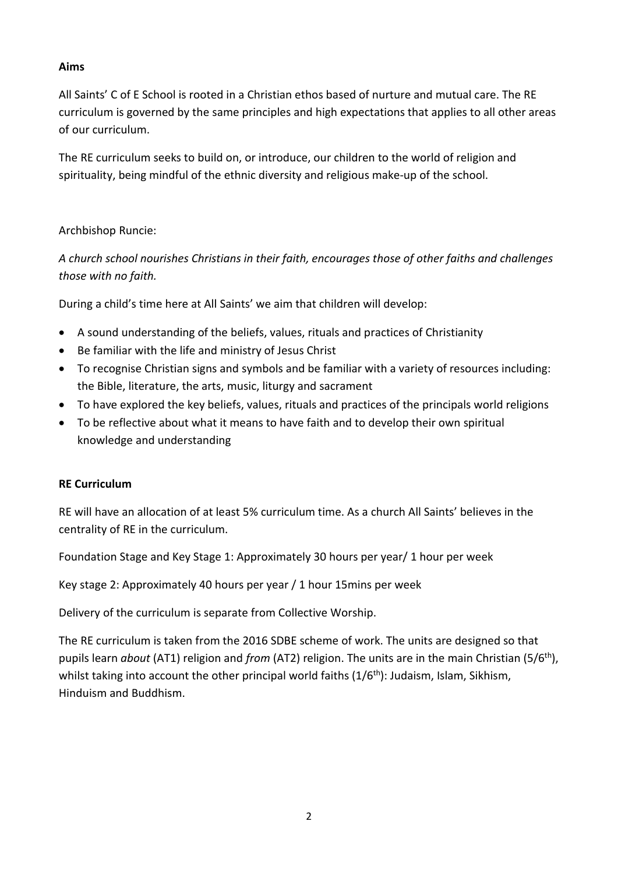## Aims

All Saints' C of E School is rooted in a Christian ethos based of nurture and mutual care. The RE curriculum is governed by the same principles and high expectations that applies to all other areas of our curriculum.

The RE curriculum seeks to build on, or introduce, our children to the world of religion and spirituality, being mindful of the ethnic diversity and religious make-up of the school.

## Archbishop Runcie:

*A church school nourishes Christians in their faith, encourages those of other faiths and challenges those with no faith.* 

During a child's time here at All Saints' we aim that children will develop:

- A sound understanding of the beliefs, values, rituals and practices of Christianity
- Be familiar with the life and ministry of Jesus Christ
- To recognise Christian signs and symbols and be familiar with a variety of resources including: the Bible, literature, the arts, music, liturgy and sacrament
- To have explored the key beliefs, values, rituals and practices of the principals world religions
- To be reflective about what it means to have faith and to develop their own spiritual knowledge and understanding

#### RE Curriculum

RE will have an allocation of at least 5% curriculum time. As a church All Saints' believes in the centrality of RE in the curriculum.

Foundation Stage and Key Stage 1: Approximately 30 hours per year/ 1 hour per week

Key stage 2: Approximately 40 hours per year / 1 hour 15mins per week

Delivery of the curriculum is separate from Collective Worship.

The RE curriculum is taken from the 2016 SDBE scheme of work. The units are designed so that pupils learn *about* (AT1) religion and *from* (AT2) religion. The units are in the main Christian (5/6th), whilst taking into account the other principal world faiths  $(1/6<sup>th</sup>)$ : Judaism, Islam, Sikhism, Hinduism and Buddhism.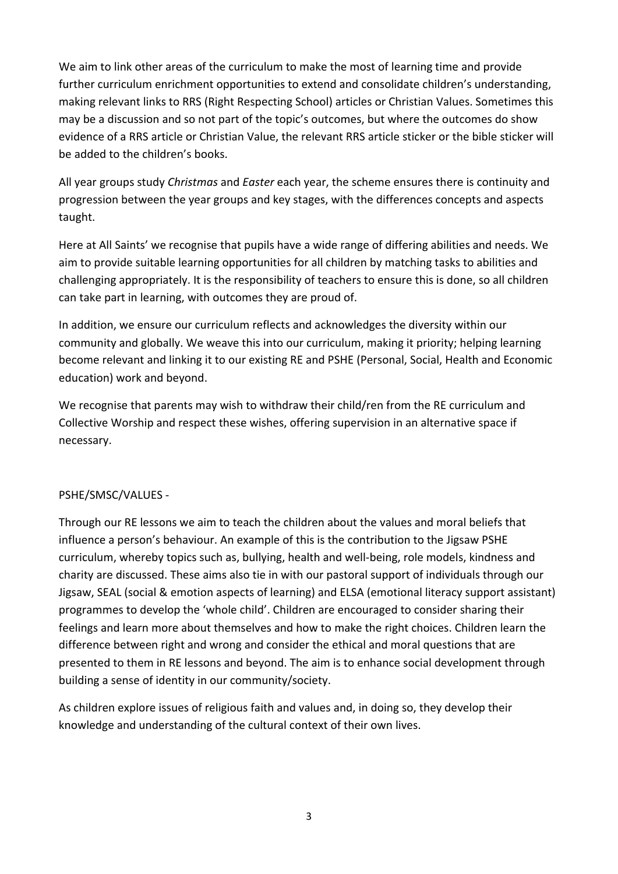We aim to link other areas of the curriculum to make the most of learning time and provide further curriculum enrichment opportunities to extend and consolidate children's understanding, making relevant links to RRS (Right Respecting School) articles or Christian Values. Sometimes this may be a discussion and so not part of the topic's outcomes, but where the outcomes do show evidence of a RRS article or Christian Value, the relevant RRS article sticker or the bible sticker will be added to the children's books.

All year groups study *Christmas* and *Easter* each year, the scheme ensures there is continuity and progression between the year groups and key stages, with the differences concepts and aspects taught.

Here at All Saints' we recognise that pupils have a wide range of differing abilities and needs. We aim to provide suitable learning opportunities for all children by matching tasks to abilities and challenging appropriately. It is the responsibility of teachers to ensure this is done, so all children can take part in learning, with outcomes they are proud of.

In addition, we ensure our curriculum reflects and acknowledges the diversity within our community and globally. We weave this into our curriculum, making it priority; helping learning become relevant and linking it to our existing RE and PSHE (Personal, Social, Health and Economic education) work and beyond.

We recognise that parents may wish to withdraw their child/ren from the RE curriculum and Collective Worship and respect these wishes, offering supervision in an alternative space if necessary.

# PSHE/SMSC/VALUES -

Through our RE lessons we aim to teach the children about the values and moral beliefs that influence a person's behaviour. An example of this is the contribution to the Jigsaw PSHE curriculum, whereby topics such as, bullying, health and well-being, role models, kindness and charity are discussed. These aims also tie in with our pastoral support of individuals through our Jigsaw, SEAL (social & emotion aspects of learning) and ELSA (emotional literacy support assistant) programmes to develop the 'whole child'. Children are encouraged to consider sharing their feelings and learn more about themselves and how to make the right choices. Children learn the difference between right and wrong and consider the ethical and moral questions that are presented to them in RE lessons and beyond. The aim is to enhance social development through building a sense of identity in our community/society.

As children explore issues of religious faith and values and, in doing so, they develop their knowledge and understanding of the cultural context of their own lives.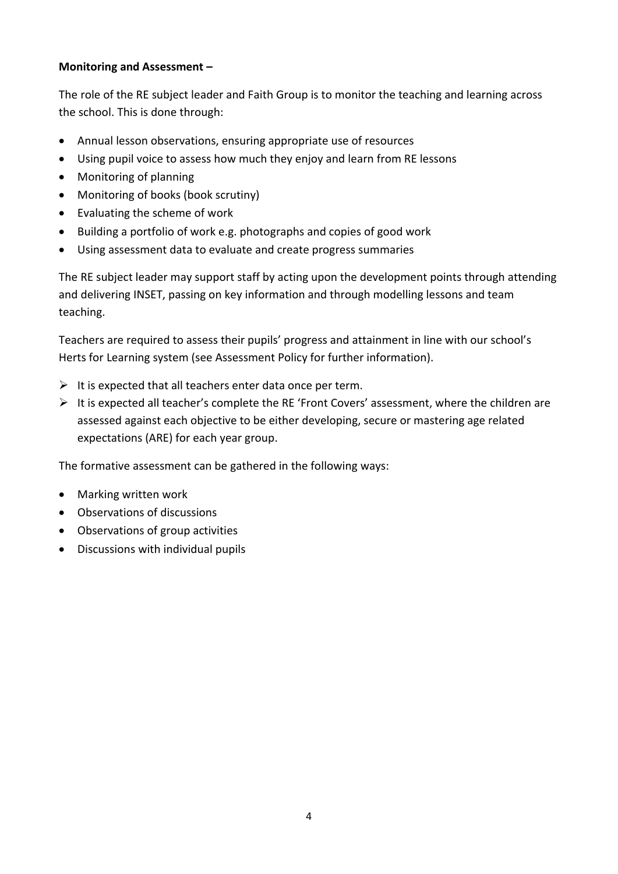## Monitoring and Assessment –

The role of the RE subject leader and Faith Group is to monitor the teaching and learning across the school. This is done through:

- Annual lesson observations, ensuring appropriate use of resources
- Using pupil voice to assess how much they enjoy and learn from RE lessons
- Monitoring of planning
- Monitoring of books (book scrutiny)
- Evaluating the scheme of work
- Building a portfolio of work e.g. photographs and copies of good work
- Using assessment data to evaluate and create progress summaries

The RE subject leader may support staff by acting upon the development points through attending and delivering INSET, passing on key information and through modelling lessons and team teaching.

Teachers are required to assess their pupils' progress and attainment in line with our school's Herts for Learning system (see Assessment Policy for further information).

- $\triangleright$  It is expected that all teachers enter data once per term.
- $\triangleright$  It is expected all teacher's complete the RE 'Front Covers' assessment, where the children are assessed against each objective to be either developing, secure or mastering age related expectations (ARE) for each year group.

The formative assessment can be gathered in the following ways:

- Marking written work
- Observations of discussions
- Observations of group activities
- Discussions with individual pupils